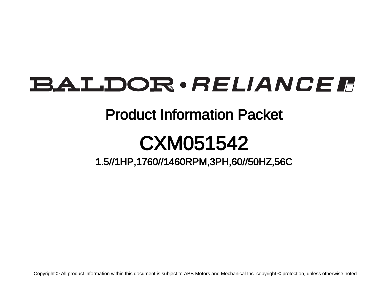# **BALDOR** · RELIANCE F

## Product Information Packet

# CXM051542

1.5//1HP,1760//1460RPM,3PH,60//50HZ,56C

Copyright © All product information within this document is subject to ABB Motors and Mechanical Inc. copyright © protection, unless otherwise noted.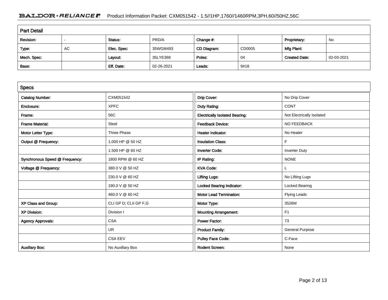### BALDOR · RELIANCE F Product Information Packet: CXM051542 - 1.5//1HP,1760//1460RPM,3PH,60//50HZ,56C

| <b>Part Detail</b> |    |             |            |             |        |                      |            |  |
|--------------------|----|-------------|------------|-------------|--------|----------------------|------------|--|
| Revision:          |    | Status:     | PRD/A      | Change #:   |        | Proprietary:         | No         |  |
| Type:              | AC | Elec. Spec: | 35WGM493   | CD Diagram: | CD0005 | Mfg Plant:           |            |  |
| Mech. Spec:        |    | Layout:     | 35LYE368   | Poles:      | -04    | <b>Created Date:</b> | 02-03-2021 |  |
| Base:              |    | Eff. Date:  | 02-26-2021 | Leads:      | 9#18   |                      |            |  |

| <b>Specs</b>                   |                       |                                       |                           |
|--------------------------------|-----------------------|---------------------------------------|---------------------------|
| <b>Catalog Number:</b>         | CXM051542             | Drip Cover:                           | No Drip Cover             |
| Enclosure:                     | <b>XPFC</b>           | Duty Rating:                          | <b>CONT</b>               |
| Frame:                         | 56C                   | <b>Electrically Isolated Bearing:</b> | Not Electrically Isolated |
| <b>Frame Material:</b>         | <b>Steel</b>          | <b>Feedback Device:</b>               | NO FEEDBACK               |
| Motor Letter Type:             | Three Phase           | <b>Heater Indicator:</b>              | No Heater                 |
| Output @ Frequency:            | 1.000 HP @ 50 HZ      | <b>Insulation Class:</b>              | F                         |
|                                | 1.500 HP @ 60 HZ      | <b>Inverter Code:</b>                 | <b>Inverter Duty</b>      |
| Synchronous Speed @ Frequency: | 1800 RPM @ 60 HZ      | IP Rating:                            | <b>NONE</b>               |
| Voltage @ Frequency:           | 380.0 V @ 50 HZ       | <b>KVA Code:</b>                      | L.                        |
|                                | 230.0 V @ 60 HZ       | <b>Lifting Lugs:</b>                  | No Lifting Lugs           |
|                                | 190.0 V @ 50 HZ       | <b>Locked Bearing Indicator:</b>      | <b>Locked Bearing</b>     |
|                                | 460.0 V @ 60 HZ       | <b>Motor Lead Termination:</b>        | <b>Flying Leads</b>       |
| XP Class and Group:            | CLI GP D; CLII GP F,G | Motor Type:                           | 3526M                     |
| <b>XP Division:</b>            | Division I            | <b>Mounting Arrangement:</b>          | F1                        |
| <b>Agency Approvals:</b>       | <b>CSA</b>            | <b>Power Factor:</b>                  | 73                        |
|                                | <b>UR</b>             | <b>Product Family:</b>                | <b>General Purpose</b>    |
|                                | <b>CSA EEV</b>        | <b>Pulley Face Code:</b>              | C-Face                    |
| <b>Auxillary Box:</b>          | No Auxillary Box      | <b>Rodent Screen:</b>                 | None                      |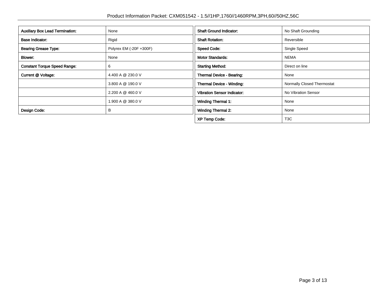| <b>Auxillary Box Lead Termination:</b> | None                    | <b>Shaft Ground Indicator:</b>     | No Shaft Grounding         |
|----------------------------------------|-------------------------|------------------------------------|----------------------------|
| <b>Base Indicator:</b>                 | Rigid                   | <b>Shaft Rotation:</b>             | Reversible                 |
| <b>Bearing Grease Type:</b>            | Polyrex EM (-20F +300F) | <b>Speed Code:</b>                 | Single Speed               |
| <b>Blower:</b>                         | None                    | <b>Motor Standards:</b>            | <b>NEMA</b>                |
| <b>Constant Torque Speed Range:</b>    | 6                       | <b>Starting Method:</b>            | Direct on line             |
| Current @ Voltage:                     | 4.400 A @ 230.0 V       | Thermal Device - Bearing:          | None                       |
|                                        | 3.800 A @ 190.0 V       | <b>Thermal Device - Winding:</b>   | Normally Closed Thermostat |
|                                        | 2.200 A @ 460.0 V       | <b>Vibration Sensor Indicator:</b> | No Vibration Sensor        |
|                                        | 1.900 A @ 380.0 V       | <b>Winding Thermal 1:</b>          | None                       |
| Design Code:                           | B                       | <b>Winding Thermal 2:</b>          | None                       |
|                                        |                         | <b>XP Temp Code:</b>               | T <sub>3</sub> C           |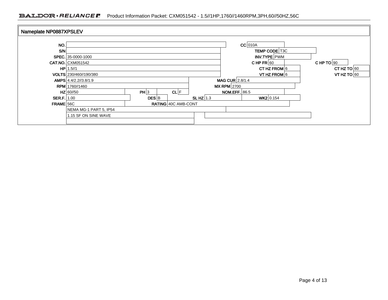### BALDOR · RELIANCE Froduct Information Packet: CXM051542 - 1.5//1HP,1760//1460RPM,3PH,60//50HZ,56C

| Nameplate NP0887XPSLEV |                          |       |                     |               |                                 |                   |                      |  |  |
|------------------------|--------------------------|-------|---------------------|---------------|---------------------------------|-------------------|----------------------|--|--|
|                        |                          |       |                     |               |                                 |                   |                      |  |  |
| NO.                    |                          |       |                     |               |                                 | $CC$ 010A         |                      |  |  |
| <b>S/N</b>             |                          |       |                     |               |                                 |                   | <b>TEMP CODE T3C</b> |  |  |
|                        | SPEC. 35-0000-1000       |       |                     |               |                                 | INV.TYPE PWM      |                      |  |  |
|                        | <b>CAT.NO. CXM051542</b> |       |                     |               | CHP TO $90$<br>CHPFR $60$       |                   |                      |  |  |
|                        | $HP$ 1.5//1              |       |                     |               | CT HZ FROM $6$<br>CT HZ TO $60$ |                   |                      |  |  |
|                        | VOLTS 230/460//190/380   |       |                     |               | VT HZ FROM 6<br>VT HZ TO $60$   |                   |                      |  |  |
|                        | AMPS 4.4/2.2//3.8/1.9    |       |                     |               |                                 | MAG CUR $2.8/1.4$ |                      |  |  |
|                        | RPM 1760//1460           |       |                     | $MX$ RPM 2700 |                                 |                   |                      |  |  |
|                        | $HZ$ 60//50              | PH 3  | CL F                |               | <b>NOM.EFF.</b> 86.5            |                   |                      |  |  |
| $SER.F. 1.00$          |                          | DES B |                     | SLHZ $1.3$    |                                 | WK2 0.154         |                      |  |  |
| FRAME 56C              |                          |       | RATING 40C AMB-CONT |               |                                 |                   |                      |  |  |
|                        | NEMA MG-1 PART 5, IP54   |       |                     |               |                                 |                   |                      |  |  |
|                        | 1.15 SF ON SINE WAVE     |       |                     |               |                                 |                   |                      |  |  |
|                        |                          |       |                     |               |                                 |                   |                      |  |  |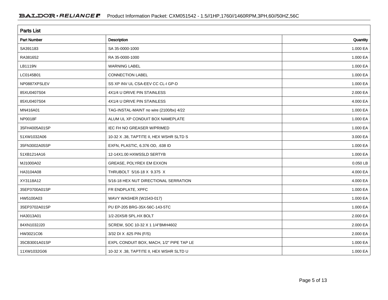| <b>Parts List</b>  |                                          |          |
|--------------------|------------------------------------------|----------|
| <b>Part Number</b> | Description                              | Quantity |
| SA391183           | SA 35-0000-1000                          | 1.000 EA |
| RA381652           | RA 35-0000-1000                          | 1.000 EA |
| LB1119N            | <b>WARNING LABEL</b>                     | 1.000 EA |
| LC0145B01          | <b>CONNECTION LABEL</b>                  | 1.000 EA |
| NP0887XPSLEV       | SS XP INV UL CSA-EEV CC CL-I GP-D        | 1.000 EA |
| 85XU0407S04        | 4X1/4 U DRIVE PIN STAINLESS              | 2.000 EA |
| 85XU0407S04        | 4X1/4 U DRIVE PIN STAINLESS              | 4.000 EA |
| MN416A01           | TAG-INSTAL-MAINT no wire (2100/bx) 4/22  | 1.000 EA |
| NP0018F            | ALUM UL XP CONDUIT BOX NAMEPLATE         | 1.000 EA |
| 35FH4005A01SP      | IEC FH NO GREASER W/PRIMED               | 1.000 EA |
| 51XW1032A06        | 10-32 X .38, TAPTITE II, HEX WSHR SLTD S | 3.000 EA |
| 35FN3002A05SP      | EXFN, PLASTIC, 6.376 OD, .638 ID         | 1.000 EA |
| 51XB1214A16        | 12-14X1.00 HXWSSLD SERTYB                | 1.000 EA |
| MJ1000A02          | GREASE, POLYREX EM EXXON                 | 0.050 LB |
| HA3104A08          | THRUBOLT 5/16-18 X 9.375 X               | 4.000 EA |
| XY3118A12          | 5/16-18 HEX NUT DIRECTIONAL SERRATION    | 4.000 EA |
| 35EP3700A01SP      | FR ENDPLATE, XPFC                        | 1.000 EA |
| HW5100A03          | WAVY WASHER (W1543-017)                  | 1.000 EA |
| 35EP3702A01SP      | PU EP-205 BRG-35X-56C-143-5TC            | 1.000 EA |
| HA3013A01          | 1/2-20X5/8 SPL.HX BOLT                   | 2.000 EA |
| 84XN1032J20        | SCREW, SOC 10-32 X 1 1/4"BMH4602         | 2.000 EA |
| HW3021C06          | 3/32 DI X .625 PIN (F/S)                 | 2.000 EA |
| 35CB3001A01SP      | EXPL CONDUIT BOX, MACH, 1/2" PIPE TAP LE | 1.000 EA |
| 11XW1032G06        | 10-32 X .38, TAPTITE II, HEX WSHR SLTD U | 1.000 EA |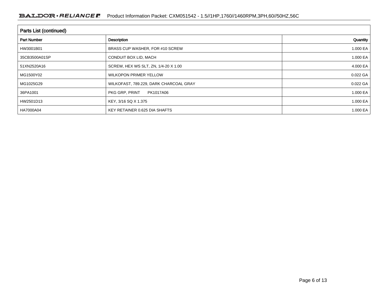| Parts List (continued) |                                        |          |  |  |  |  |
|------------------------|----------------------------------------|----------|--|--|--|--|
| <b>Part Number</b>     | Description                            | Quantity |  |  |  |  |
| HW3001B01              | BRASS CUP WASHER, FOR #10 SCREW        | 1.000 EA |  |  |  |  |
| 35CB3500A01SP          | CONDUIT BOX LID, MACH                  | 1.000 EA |  |  |  |  |
| 51XN2520A16            | SCREW, HEX WS SLT, ZN, 1/4-20 X 1.00   | 4.000 EA |  |  |  |  |
| MG1500Y02              | <b>WILKOPON PRIMER YELLOW</b>          | 0.022 GA |  |  |  |  |
| MG1025G29              | WILKOFAST, 789.229, DARK CHARCOAL GRAY | 0.022 GA |  |  |  |  |
| 36PA1001               | PKG GRP, PRINT<br>PK1017A06            | 1.000 EA |  |  |  |  |
| HW2501D13              | KEY, 3/16 SQ X 1.375                   | 1.000 EA |  |  |  |  |
| HA7000A04              | KEY RETAINER 0.625 DIA SHAFTS          | 1.000 EA |  |  |  |  |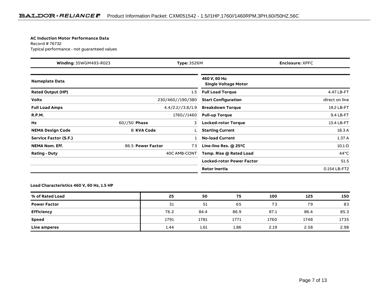#### **AC Induction Motor Performance Data**

Record # 76732Typical performance - not guaranteed values

| Winding: 35WGM493-R023<br><b>Type: 3526M</b> |                   |                  | <b>Enclosure: XPFC</b>                       |                |
|----------------------------------------------|-------------------|------------------|----------------------------------------------|----------------|
| <b>Nameplate Data</b>                        |                   |                  | 460 V, 60 Hz:<br><b>Single Voltage Motor</b> |                |
| <b>Rated Output (HP)</b>                     |                   | 1.5              | <b>Full Load Torque</b>                      | 4.47 LB-FT     |
| <b>Volts</b>                                 |                   | 230/460//190/380 | <b>Start Configuration</b>                   | direct on line |
| <b>Full Load Amps</b>                        |                   | 4.4/2.2//3.8/1.9 | <b>Breakdown Torque</b>                      | 19.2 LB-FT     |
| <b>R.P.M.</b>                                |                   | 1760//1460       | <b>Pull-up Torque</b>                        | 9.4 LB-FT      |
| Hz                                           | $60//50$ Phase    | 3                | <b>Locked-rotor Torque</b>                   | 13.4 LB-FT     |
| <b>NEMA Design Code</b>                      | <b>B KVA Code</b> |                  | <b>Starting Current</b>                      | 18.3 A         |
| Service Factor (S.F.)                        |                   |                  | <b>No-load Current</b>                       | 1.37A          |
| <b>NEMA Nom. Eff.</b>                        | 86.5 Power Factor | 73               | Line-line Res. @ 25°C                        | $10.1 \Omega$  |
| <b>Rating - Duty</b>                         |                   | 40C AMB-CONT     | Temp. Rise @ Rated Load                      | $44^{\circ}$ C |
|                                              |                   |                  | <b>Locked-rotor Power Factor</b>             | 51.5           |
|                                              |                   |                  | <b>Rotor inertia</b>                         | 0.154 LB-FT2   |

#### **Load Characteristics 460 V, 60 Hz, 1.5 HP**

| % of Rated Load     | 25   | 50   | 75   | 100  | 125  | 150  |
|---------------------|------|------|------|------|------|------|
| <b>Power Factor</b> | 31   | 51   | 65   | 73   | 79   | 83   |
| <b>Efficiency</b>   | 76.2 | 84.4 | 86.9 | 87.1 | 86.4 | 85.3 |
| <b>Speed</b>        | 1791 | 1781 | 1771 | 1760 | 1748 | 1735 |
| Line amperes        | 1.44 | 1.61 | 1.86 | 2.19 | 2.58 | 2.98 |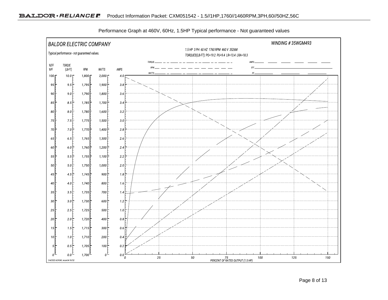

Performance Graph at 460V, 60Hz, 1.5HP Typical performance - Not guaranteed values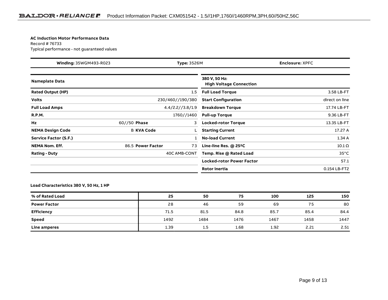#### **AC Induction Motor Performance Data**

Record # 76733Typical performance - not guaranteed values

| Winding: 35WGM493-R023   |                   | <b>Type: 3526M</b> |                                                 | <b>Enclosure: XPFC</b> |
|--------------------------|-------------------|--------------------|-------------------------------------------------|------------------------|
| <b>Nameplate Data</b>    |                   |                    | 380 V, 50 Hz:<br><b>High Voltage Connection</b> |                        |
| <b>Rated Output (HP)</b> |                   | 1.5                | <b>Full Load Torque</b>                         | 3.58 LB-FT             |
| <b>Volts</b>             |                   | 230/460//190/380   | <b>Start Configuration</b>                      | direct on line         |
| <b>Full Load Amps</b>    |                   | 4.4/2.2//3.8/1.9   | <b>Breakdown Torque</b>                         | 17.74 LB-FT            |
| <b>R.P.M.</b>            |                   | 1760//1460         | <b>Pull-up Torque</b>                           | 9.36 LB-FT             |
| Hz                       | $60//50$ Phase    | 3                  | <b>Locked-rotor Torque</b>                      | 13.35 LB-FT            |
| <b>NEMA Design Code</b>  | <b>B KVA Code</b> |                    | <b>Starting Current</b>                         | 17.27 A                |
| Service Factor (S.F.)    |                   |                    | <b>No-load Current</b>                          | 1.34A                  |
| <b>NEMA Nom. Eff.</b>    | 86.5 Power Factor | 73                 | Line-line Res. @ 25°C                           | $10.1 \Omega$          |
| <b>Rating - Duty</b>     |                   | 40C AMB-CONT       | Temp. Rise @ Rated Load                         | $35^{\circ}$ C         |
|                          |                   |                    | <b>Locked-rotor Power Factor</b>                | 57.1                   |
|                          |                   |                    | <b>Rotor inertia</b>                            | 0.154 LB-FT2           |

#### **Load Characteristics 380 V, 50 Hz, 1 HP**

| % of Rated Load     | 25   | 50               | 75   | 100  | 125  | 150  |
|---------------------|------|------------------|------|------|------|------|
| <b>Power Factor</b> | 28   | 46               | 59   | 69   | 75   | 80   |
| <b>Efficiency</b>   | 71.5 | 81.5             | 84.8 | 85.7 | 85.4 | 84.4 |
| Speed               | 1492 | 1484             | 1476 | 1467 | 1458 | 1447 |
| Line amperes        | 1.39 | $1.5\phantom{0}$ | 1.68 | 1.92 | 2.21 | 2.51 |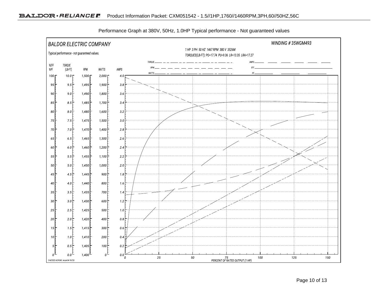

Performance Graph at 380V, 50Hz, 1.0HP Typical performance - Not guaranteed values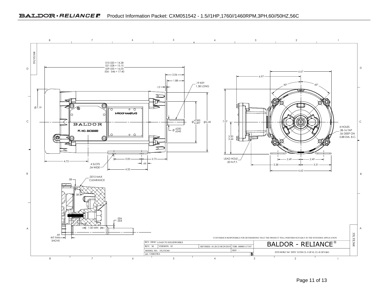#### BALDOR · RELIANCE F Product Information Packet: CXM051542 - 1.5//1HP,1760//1460RPM,3PH,60//50HZ,56C

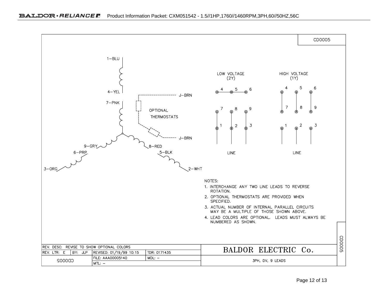